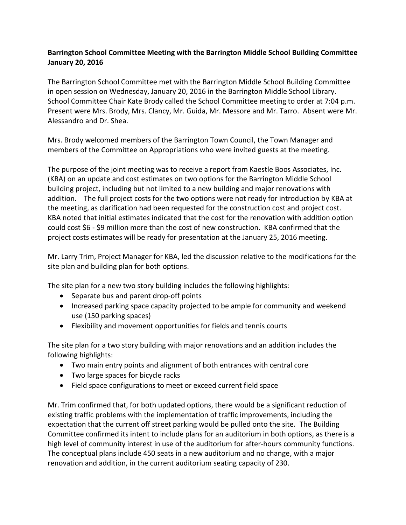## **Barrington School Committee Meeting with the Barrington Middle School Building Committee January 20, 2016**

The Barrington School Committee met with the Barrington Middle School Building Committee in open session on Wednesday, January 20, 2016 in the Barrington Middle School Library. School Committee Chair Kate Brody called the School Committee meeting to order at 7:04 p.m. Present were Mrs. Brody, Mrs. Clancy, Mr. Guida, Mr. Messore and Mr. Tarro. Absent were Mr. Alessandro and Dr. Shea.

Mrs. Brody welcomed members of the Barrington Town Council, the Town Manager and members of the Committee on Appropriations who were invited guests at the meeting.

The purpose of the joint meeting was to receive a report from Kaestle Boos Associates, Inc. (KBA) on an update and cost estimates on two options for the Barrington Middle School building project, including but not limited to a new building and major renovations with addition. The full project costs for the two options were not ready for introduction by KBA at the meeting, as clarification had been requested for the construction cost and project cost. KBA noted that initial estimates indicated that the cost for the renovation with addition option could cost \$6 - \$9 million more than the cost of new construction. KBA confirmed that the project costs estimates will be ready for presentation at the January 25, 2016 meeting.

Mr. Larry Trim, Project Manager for KBA, led the discussion relative to the modifications for the site plan and building plan for both options.

The site plan for a new two story building includes the following highlights:

- Separate bus and parent drop-off points
- Increased parking space capacity projected to be ample for community and weekend use (150 parking spaces)
- Flexibility and movement opportunities for fields and tennis courts

The site plan for a two story building with major renovations and an addition includes the following highlights:

- Two main entry points and alignment of both entrances with central core
- Two large spaces for bicycle racks
- Field space configurations to meet or exceed current field space

Mr. Trim confirmed that, for both updated options, there would be a significant reduction of existing traffic problems with the implementation of traffic improvements, including the expectation that the current off street parking would be pulled onto the site. The Building Committee confirmed its intent to include plans for an auditorium in both options, as there is a high level of community interest in use of the auditorium for after-hours community functions. The conceptual plans include 450 seats in a new auditorium and no change, with a major renovation and addition, in the current auditorium seating capacity of 230.